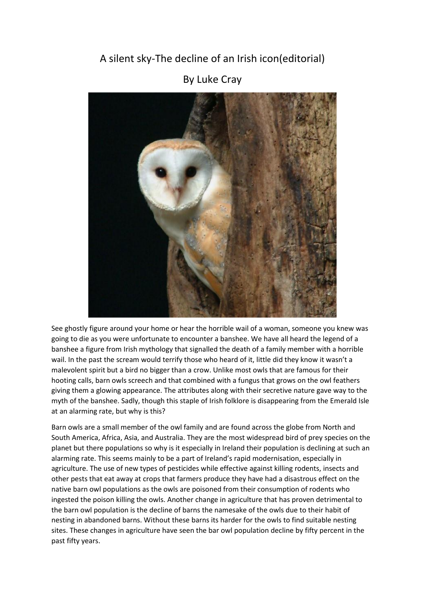## A silent sky-The decline of an Irish icon(editorial)



## By Luke Cray

See ghostly figure around your home or hear the horrible wail of a woman, someone you knew was going to die as you were unfortunate to encounter a banshee. We have all heard the legend of a banshee a figure from Irish mythology that signalled the death of a family member with a horrible wail. In the past the scream would terrify those who heard of it, little did they know it wasn't a malevolent spirit but a bird no bigger than a crow. Unlike most owls that are famous for their hooting calls, barn owls screech and that combined with a fungus that grows on the owl feathers giving them a glowing appearance. The attributes along with their secretive nature gave way to the myth of the banshee. Sadly, though this staple of Irish folklore is disappearing from the Emerald Isle at an alarming rate, but why is this?

Barn owls are a small member of the owl family and are found across the globe from North and South America, Africa, Asia, and Australia. They are the most widespread bird of prey species on the planet but there populations so why is it especially in Ireland their population is declining at such an alarming rate. This seems mainly to be a part of Ireland's rapid modernisation, especially in agriculture. The use of new types of pesticides while effective against killing rodents, insects and other pests that eat away at crops that farmers produce they have had a disastrous effect on the native barn owl populations as the owls are poisoned from their consumption of rodents who ingested the poison killing the owls. Another change in agriculture that has proven detrimental to the barn owl population is the decline of barns the namesake of the owls due to their habit of nesting in abandoned barns. Without these barns its harder for the owls to find suitable nesting sites. These changes in agriculture have seen the bar owl population decline by fifty percent in the past fifty years.